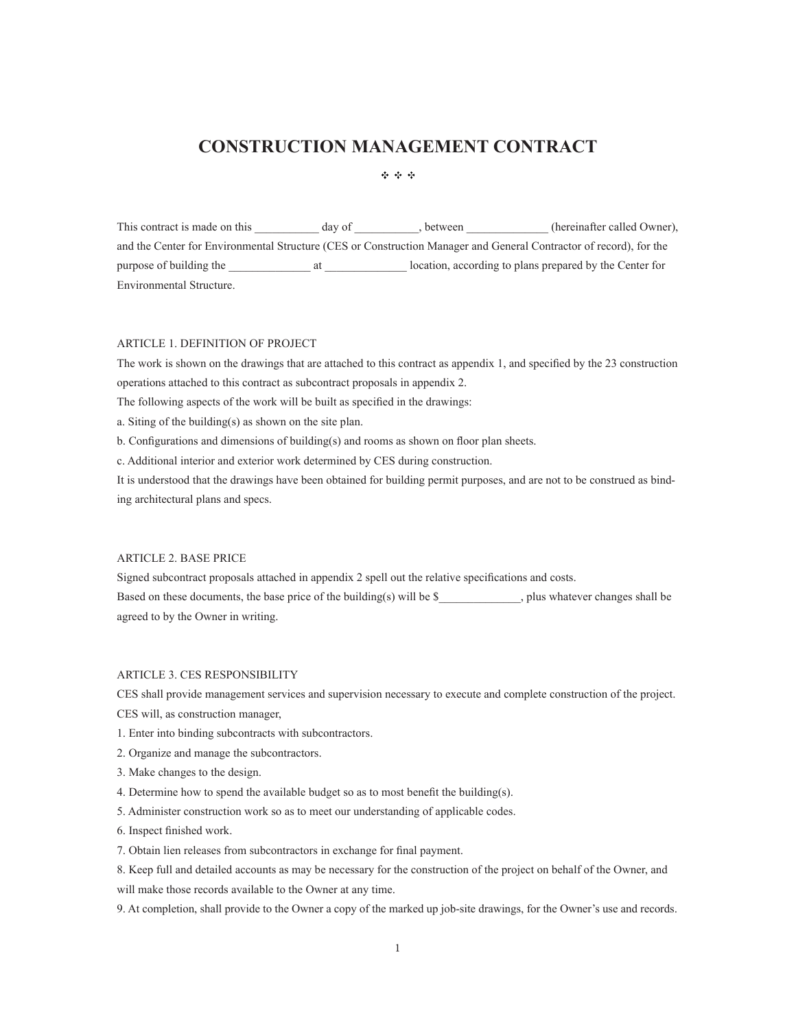# **CONSTRUCTION)MANAGEMENT)CONTRACT**

 $-4 + 4 + 4 +$ 

This contract is made on this \_\_\_\_\_\_\_\_\_\_\_ day of \_\_\_\_\_\_\_\_\_, between \_\_\_\_\_\_\_\_\_\_\_\_(hereinafter called Owner), and the Center for Environmental Structure (CES or Construction Manager and General Contractor of record), for the purpose%of%building%the%\_\_\_\_\_\_\_\_\_\_\_\_\_\_%at%\_\_\_\_\_\_\_\_\_\_\_\_\_\_%location,%according%to%plans%prepared%by%the%Center%for% Environmental Structure.

# ARTICLE 1. DEFINITION OF PROJECT

The work is shown on the drawings that are attached to this contract as appendix 1, and specified by the 23 construction operations attached to this contract as subcontract proposals in appendix 2.

The following aspects of the work will be built as specified in the drawings:

a. Siting of the building(s) as shown on the site plan.

b. Configurations and dimensions of building(s) and rooms as shown on floor plan sheets.

c. Additional interior and exterior work determined by CES during construction.

It is understood that the drawings have been obtained for building permit purposes, and are not to be construed as binding architectural plans and specs.

# ARTICLE 2. BASE PRICE

Signed subcontract proposals attached in appendix 2 spell out the relative specifications and costs. Based on these documents, the base price of the building(s) will be  $\$\$ , plus whatever changes shall be agreed to by the Owner in writing.

## ARTICLE 3. CES RESPONSIBILITY

CES shall provide management services and supervision necessary to execute and complete construction of the project. CES will, as construction manager,

- 1. Enter into binding subcontracts with subcontractors.
- 2. Organize and manage the subcontractors.
- 3. Make changes to the design.
- 4. Determine how to spend the available budget so as to most benefit the building(s).
- 5. Administer construction work so as to meet our understanding of applicable codes.
- 6. Inspect finished work.
- 7. Obtain lien releases from subcontractors in exchange for final payment.
- 8. Keep full and detailed accounts as may be necessary for the construction of the project on behalf of the Owner, and will make those records available to the Owner at any time.
- 9. At completion, shall provide to the Owner a copy of the marked up job-site drawings, for the Owner's use and records.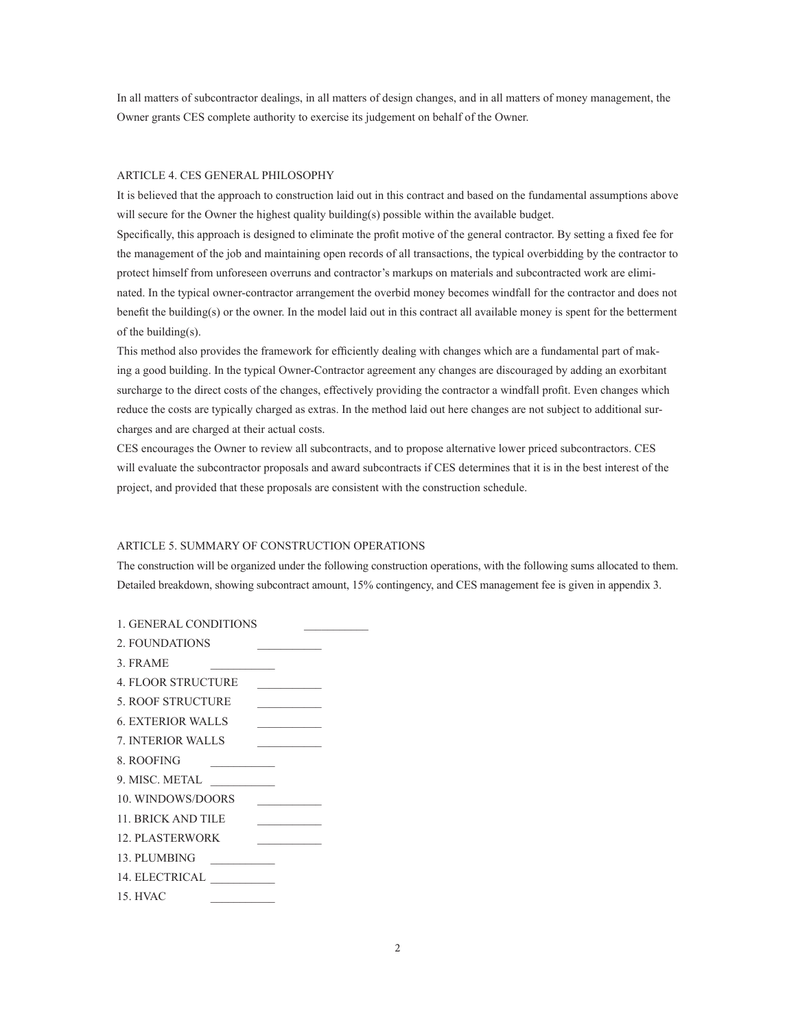In all matters of subcontractor dealings, in all matters of design changes, and in all matters of money management, the Owner grants CES complete authority to exercise its judgement on behalf of the Owner.

## ARTICLE 4. CES GENERAL PHILOSOPHY

It is believed that the approach to construction laid out in this contract and based on the fundamental assumptions above will secure for the Owner the highest quality building(s) possible within the available budget.

Specifically, this approach is designed to eliminate the profit motive of the general contractor. By setting a fixed fee for the management of the job and maintaining open records of all transactions, the typical overbidding by the contractor to protect himself from unforeseen overruns and contractor's markups on materials and subcontracted work are eliminated. In the typical owner-contractor arrangement the overbid money becomes windfall for the contractor and does not benefit the building(s) or the owner. In the model laid out in this contract all available money is spent for the betterment of the building(s).

This method also provides the framework for efficiently dealing with changes which are a fundamental part of making a good building. In the typical Owner-Contractor agreement any changes are discouraged by adding an exorbitant surcharge to the direct costs of the changes, effectively providing the contractor a windfall profit. Even changes which reduce the costs are typically charged as extras. In the method laid out here changes are not subject to additional surcharges and are charged at their actual costs.

CES encourages the Owner to review all subcontracts, and to propose alternative lower priced subcontractors. CES will evaluate the subcontractor proposals and award subcontracts if CES determines that it is in the best interest of the project, and provided that these proposals are consistent with the construction schedule.

## ARTICLE 5. SUMMARY OF CONSTRUCTION OPERATIONS

The construction will be organized under the following construction operations, with the following sums allocated to them. Detailed breakdown, showing subcontract amount, 15% contingency, and CES management fee is given in appendix 3.

1. GENERAL CONDITIONS 2. FOUNDATIONS 3. FRAME 4. FLOOR STRUCTURE 5. ROOF STRUCTURE 6. EXTERIOR WALLS 7. INTERIOR WALLS 8. ROOFING 9. MISC. METAL 10. WINDOWS/DOORS 11, BRICK AND TILE 12. PLASTERWORK 13. PLUMBING 14. ELECTRICAL 15. HVAC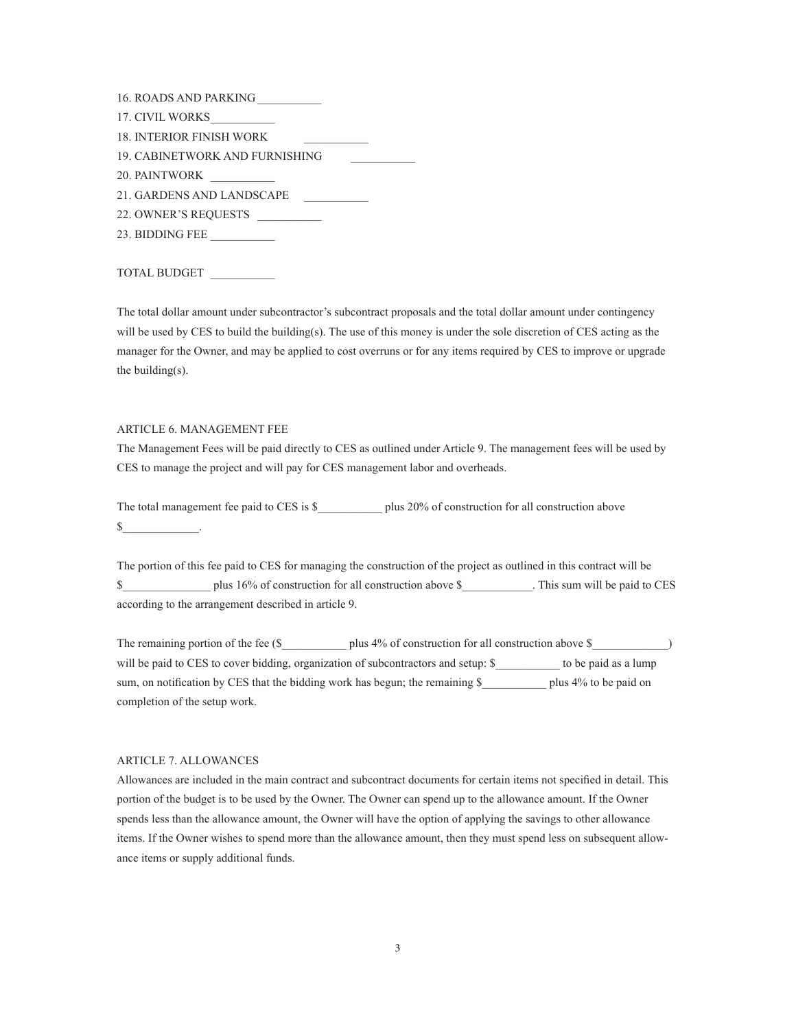- 17. CIVIL WORKS
- 18. INTERIOR FINISH WORK
- 19. CABINETWORK AND FURNISHING
- 20. PAINTWORK
- 21. GARDENS AND LANDSCAPE
- 22. OWNER'S REQUESTS
- 23. BIDDING FEE

# TOTAL BUDGET

The total dollar amount under subcontractor's subcontract proposals and the total dollar amount under contingency will be used by CES to build the building(s). The use of this money is under the sole discretion of CES acting as the manager for the Owner, and may be applied to cost overruns or for any items required by CES to improve or upgrade the building(s).

# ARTICLE 6. MANAGEMENT FEE

The Management Fees will be paid directly to CES as outlined under Article 9. The management fees will be used by CES to manage the project and will pay for CES management labor and overheads.

The total management fee paid to CES is  $\$\$  plus 20% of construction for all construction above  $\mathbb S$  .

The portion of this fee paid to CES for managing the construction of the project as outlined in this contract will be S plus 16% of construction for all construction above \$ This sum will be paid to CES according to the arrangement described in article 9.

The remaining portion of the fee  $(S_$  plus 4% of construction for all construction above  $S_$ will be paid to CES to cover bidding, organization of subcontractors and setup: \$ to be paid as a lump sum, on notification by CES that the bidding work has begun; the remaining  $\$\$  plus 4% to be paid on completion of the setup work.

#### ARTICLE 7. ALLOWANCES

Allowances are included in the main contract and subcontract documents for certain items not specified in detail. This portion of the budget is to be used by the Owner. The Owner can spend up to the allowance amount. If the Owner spends less than the allowance amount, the Owner will have the option of applying the savings to other allowance items. If the Owner wishes to spend more than the allowance amount, then they must spend less on subsequent allowance items or supply additional funds.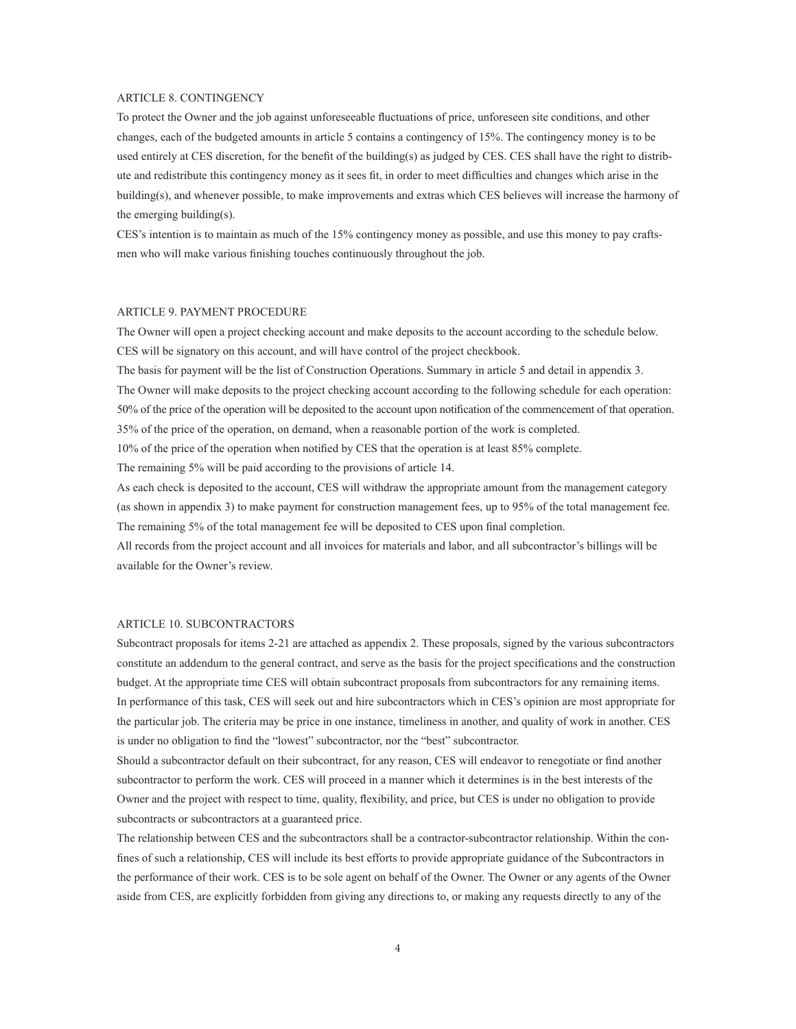#### ARTICLE 8. CONTINGENCY

To protect the Owner and the job against unforeseeable fluctuations of price, unforeseen site conditions, and other changes, each of the budgeted amounts in article 5 contains a contingency of 15%. The contingency money is to be used entirely at CES discretion, for the benefit of the building(s) as judged by CES. CES shall have the right to distribute and redistribute this contingency money as it sees fit, in order to meet difficulties and changes which arise in the building(s), and whenever possible, to make improvements and extras which CES believes will increase the harmony of the emerging building(s).

 $CES's$  intention is to maintain as much of the 15% contingency money as possible, and use this money to pay craftsmen who will make various finishing touches continuously throughout the job.

#### ARTICLE 9. PAYMENT PROCEDURE

The Owner will open a project checking account and make deposits to the account according to the schedule below. CES will be signatory on this account, and will have control of the project checkbook.

The basis for payment will be the list of Construction Operations. Summary in article 5 and detail in appendix 3.

The Owner will make deposits to the project checking account according to the following schedule for each operation: 50% of the price of the operation will be deposited to the account upon notification of the commencement of that operation. 35% of the price of the operation, on demand, when a reasonable portion of the work is completed.

10% of the price of the operation when notified by CES that the operation is at least 85% complete.

The remaining 5% will be paid according to the provisions of article 14.

As each check is deposited to the account, CES will withdraw the appropriate amount from the management category (as shown in appendix 3) to make payment for construction management fees, up to 95% of the total management fee. The remaining 5% of the total management fee will be deposited to CES upon final completion.

All records from the project account and all invoices for materials and labor, and all subcontractor's billings will be available for the Owner's review.

#### ARTICLE 10. SUBCONTRACTORS

Subcontract proposals for items 2-21 are attached as appendix 2. These proposals, signed by the various subcontractors constitute an addendum to the general contract, and serve as the basis for the project specifications and the construction budget. At the appropriate time CES will obtain subcontract proposals from subcontractors for any remaining items. In performance of this task, CES will seek out and hire subcontractors which in CES's opinion are most appropriate for the particular job. The criteria may be price in one instance, timeliness in another, and quality of work in another. CES is under no obligation to find the "lowest" subcontractor, nor the "best" subcontractor.

Should a subcontractor default on their subcontract, for any reason, CES will endeavor to renegotiate or find another subcontractor to perform the work. CES will proceed in a manner which it determines is in the best interests of the Owner and the project with respect to time, quality, flexibility, and price, but CES is under no obligation to provide subcontracts or subcontractors at a guaranteed price.

The relationship between CES and the subcontractors shall be a contractor-subcontractor relationship. Within the confines of such a relationship, CES will include its best efforts to provide appropriate guidance of the Subcontractors in the performance of their work. CES is to be sole agent on behalf of the Owner. The Owner or any agents of the Owner aside from CES, are explicitly forbidden from giving any directions to, or making any requests directly to any of the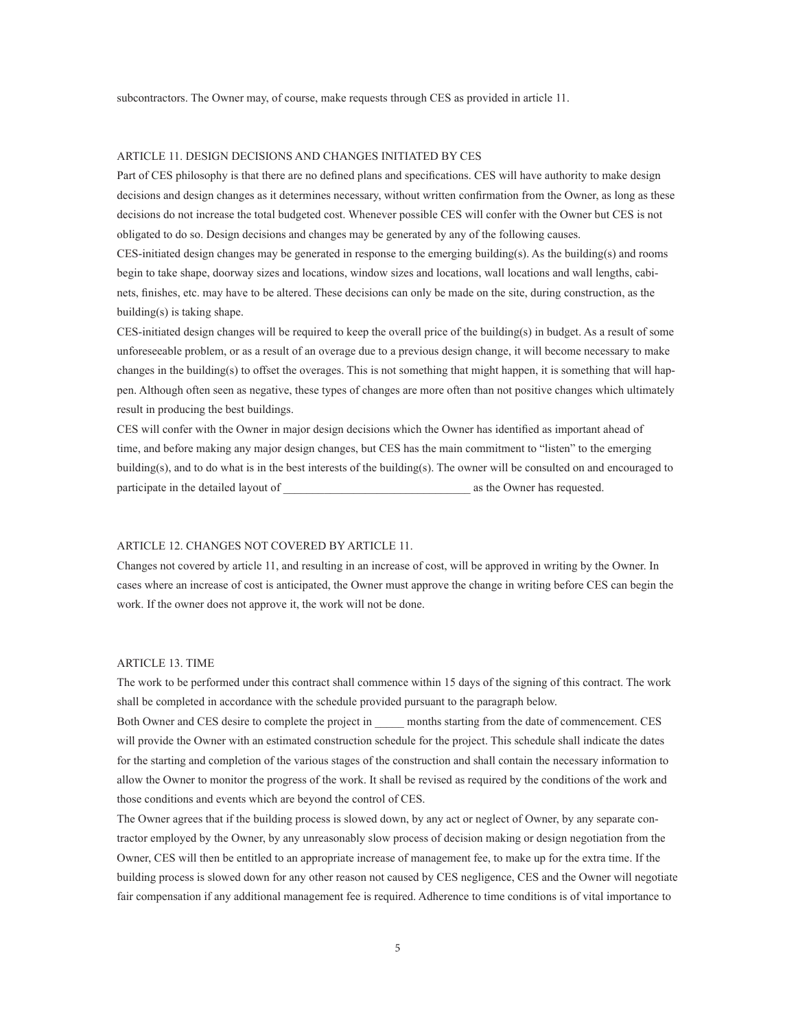subcontractors. The Owner may, of course, make requests through CES as provided in article 11.

## ARTICLE 11, DESIGN DECISIONS AND CHANGES INITIATED BY CES

Part of CES philosophy is that there are no defined plans and specifications. CES will have authority to make design decisions and design changes as it determines necessary, without written confirmation from the Owner, as long as these decisions do not increase the total budgeted cost. Whenever possible CES will confer with the Owner but CES is not obligated to do so. Design decisions and changes may be generated by any of the following causes.

 $CES$ -initiated design changes may be generated in response to the emerging building(s). As the building(s) and rooms begin to take shape, doorway sizes and locations, window sizes and locations, wall locations and wall lengths, cabinets, finishes, etc. may have to be altered. These decisions can only be made on the site, during construction, as the  $building(s)$  is taking shape.

 $\text{CES-initated design changes will be required to keep the overall price of the building(s) in budget. As a result of some$ unforeseeable problem, or as a result of an overage due to a previous design change, it will become necessary to make changes in the building(s) to offset the overages. This is not something that might happen, it is something that will happen. Although often seen as negative, these types of changes are more often than not positive changes which ultimately result in producing the best buildings.

CES will confer with the Owner in major design decisions which the Owner has identified as important ahead of time, and before making any major design changes, but CES has the main commitment to "listen" to the emerging building(s), and to do what is in the best interests of the building(s). The owner will be consulted on and encouraged to participate in the detailed layout of  $\qquad \qquad$  as the Owner has requested.

#### ARTICLE 12. CHANGES NOT COVERED BY ARTICLE 11.

Changes not covered by article 11, and resulting in an increase of cost, will be approved in writing by the Owner. In cases where an increase of cost is anticipated, the Owner must approve the change in writing before CES can begin the work. If the owner does not approve it, the work will not be done.

## ARTICLE 13. TIME

The work to be performed under this contract shall commence within 15 days of the signing of this contract. The work shall be completed in accordance with the schedule provided pursuant to the paragraph below.

Both Owner and CES desire to complete the project in months starting from the date of commencement. CES will provide the Owner with an estimated construction schedule for the project. This schedule shall indicate the dates for the starting and completion of the various stages of the construction and shall contain the necessary information to allow the Owner to monitor the progress of the work. It shall be revised as required by the conditions of the work and those conditions and events which are beyond the control of CES.

The Owner agrees that if the building process is slowed down, by any act or neglect of Owner, by any separate contractor employed by the Owner, by any unreasonably slow process of decision making or design negotiation from the Owner, CES will then be entitled to an appropriate increase of management fee, to make up for the extra time. If the building process is slowed down for any other reason not caused by CES negligence, CES and the Owner will negotiate fair compensation if any additional management fee is required. Adherence to time conditions is of vital importance to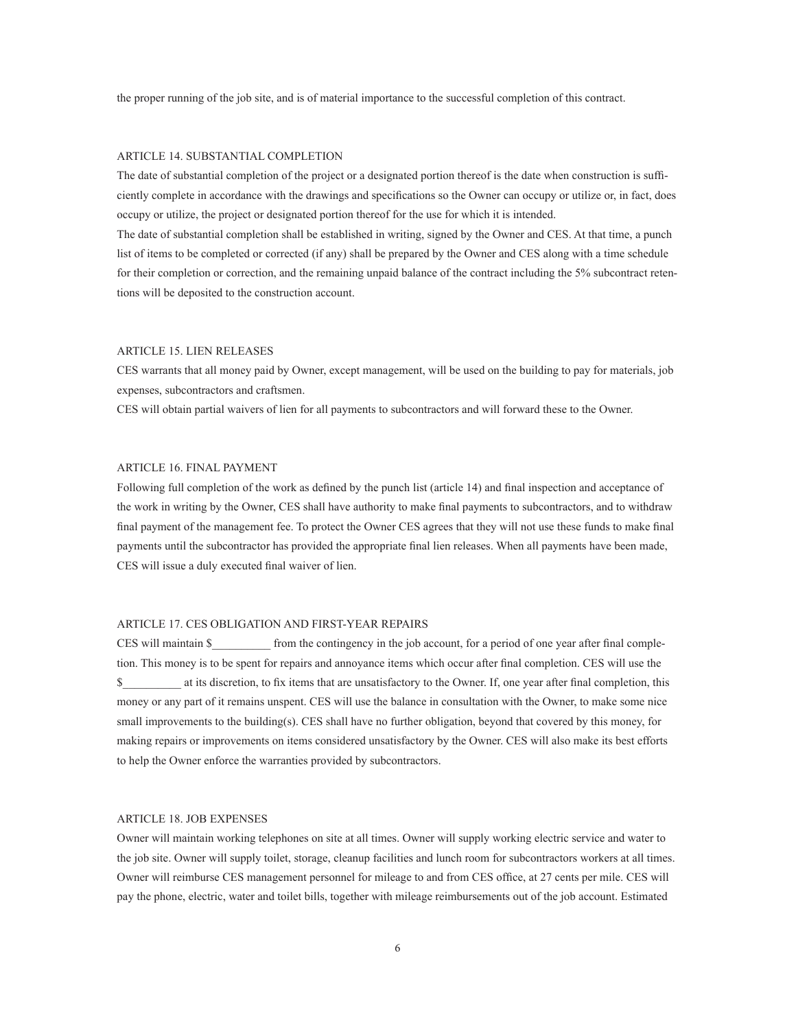the proper running of the job site, and is of material importance to the successful completion of this contract.

## ARTICLE 14. SUBSTANTIAL COMPLETION

The date of substantial completion of the project or a designated portion thereof is the date when construction is sufficiently complete in accordance with the drawings and specifications so the Owner can occupy or utilize or, in fact, does occupy or utilize, the project or designated portion thereof for the use for which it is intended.

The date of substantial completion shall be established in writing, signed by the Owner and CES. At that time, a punch list of items to be completed or corrected (if any) shall be prepared by the Owner and CES along with a time schedule for their completion or correction, and the remaining unpaid balance of the contract including the  $5\%$  subcontract retentions will be deposited to the construction account.

## ARTICLE 15. LIEN RELEASES

CES warrants that all money paid by Owner, except management, will be used on the building to pay for materials, job expenses, subcontractors and craftsmen.

CES will obtain partial waivers of lien for all payments to subcontractors and will forward these to the Owner.

#### ARTICLE 16, FINAL PAYMENT

Following full completion of the work as defined by the punch list (article 14) and final inspection and acceptance of the work in writing by the Owner, CES shall have authority to make final payments to subcontractors, and to withdraw final payment of the management fee. To protect the Owner CES agrees that they will not use these funds to make final payments until the subcontractor has provided the appropriate final lien releases. When all payments have been made, CES will issue a duly executed final waiver of lien.

## ARTICLE 17. CES OBLIGATION AND FIRST-YEAR REPAIRS

CES will maintain \$ from the contingency in the job account, for a period of one year after final completion. This money is to be spent for repairs and annoyance items which occur after final completion. CES will use the  $\$\$  at its discretion, to fix items that are unsatisfactory to the Owner. If, one year after final completion, this money or any part of it remains unspent. CES will use the balance in consultation with the Owner, to make some nice small improvements to the building(s). CES shall have no further obligation, beyond that covered by this money, for making repairs or improvements on items considered unsatisfactory by the Owner. CES will also make its best efforts to help the Owner enforce the warranties provided by subcontractors.

#### ARTICLE 18, JOB EXPENSES

Owner will maintain working telephones on site at all times. Owner will supply working electric service and water to the job site. Owner will supply toilet, storage, cleanup facilities and lunch room for subcontractors workers at all times. Owner will reimburse CES management personnel for mileage to and from CES office, at 27 cents per mile. CES will pay the phone, electric, water and toilet bills, together with mileage reimbursements out of the job account. Estimated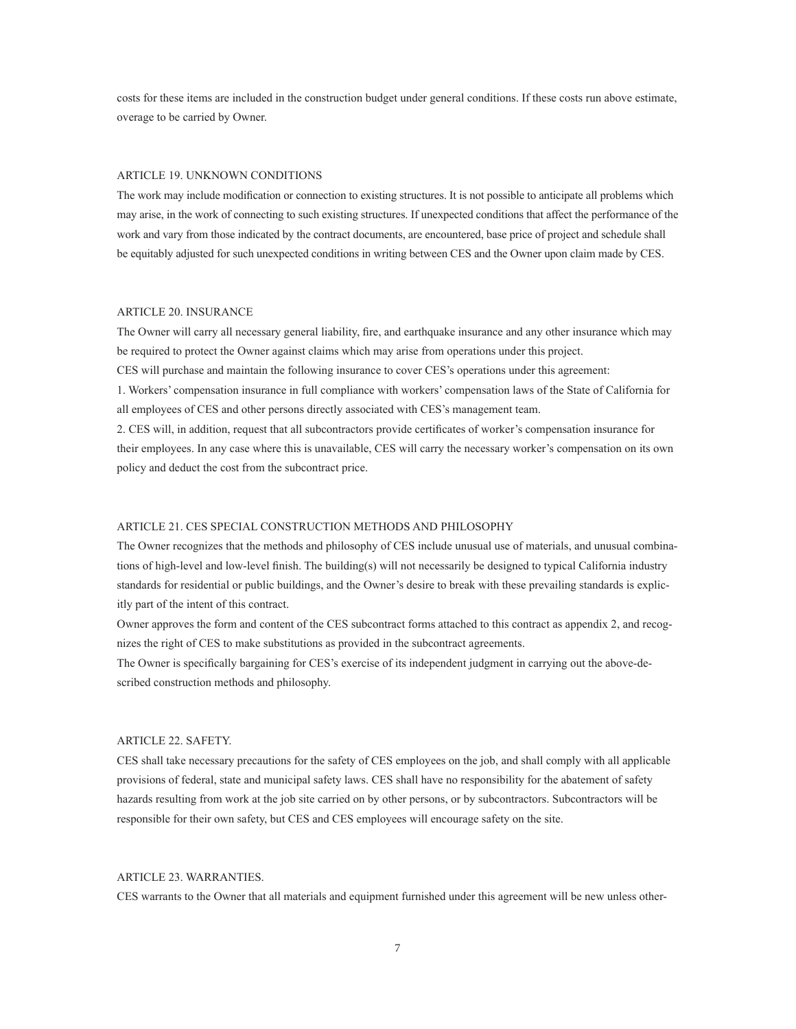costs for these items are included in the construction budget under general conditions. If these costs run above estimate, overage to be carried by Owner.

### ARTICLE 19. UNKNOWN CONDITIONS

The work may include modification or connection to existing structures. It is not possible to anticipate all problems which may arise, in the work of connecting to such existing structures. If unexpected conditions that affect the performance of the work and vary from those indicated by the contract documents, are encountered, base price of project and schedule shall be equitably adjusted for such unexpected conditions in writing between CES and the Owner upon claim made by CES.

#### ARTICLE 20. INSURANCE

The Owner will carry all necessary general liability, fire, and earthquake insurance and any other insurance which may be required to protect the Owner against claims which may arise from operations under this project.

CES will purchase and maintain the following insurance to cover CES's operations under this agreement:

1. Workers' compensation insurance in full compliance with workers' compensation laws of the State of California for all employees of CES and other persons directly associated with CES's management team.

2. CES will, in addition, request that all subcontractors provide certificates of worker's compensation insurance for their employees. In any case where this is unavailable, CES will carry the necessary worker's compensation on its own policy and deduct the cost from the subcontract price.

## ARTICLE 21, CES SPECIAL CONSTRUCTION METHODS AND PHILOSOPHY

The Owner recognizes that the methods and philosophy of CES include unusual use of materials, and unusual combinations of high-level and low-level finish. The building(s) will not necessarily be designed to typical California industry standards for residential or public buildings, and the Owner's desire to break with these prevailing standards is explicitly part of the intent of this contract.

Owner approves the form and content of the CES subcontract forms attached to this contract as appendix 2, and recognizes the right of CES to make substitutions as provided in the subcontract agreements.

The Owner is specifically bargaining for CES's exercise of its independent judgment in carrying out the above-described construction methods and philosophy.

#### ARTICLE 22, SAFETY.

CES shall take necessary precautions for the safety of CES employees on the job, and shall comply with all applicable provisions of federal, state and municipal safety laws. CES shall have no responsibility for the abatement of safety hazards resulting from work at the job site carried on by other persons, or by subcontractors. Subcontractors will be responsible for their own safety, but CES and CES employees will encourage safety on the site.

# ARTICLE 23, WARRANTIES.

CES warrants to the Owner that all materials and equipment furnished under this agreement will be new unless other-